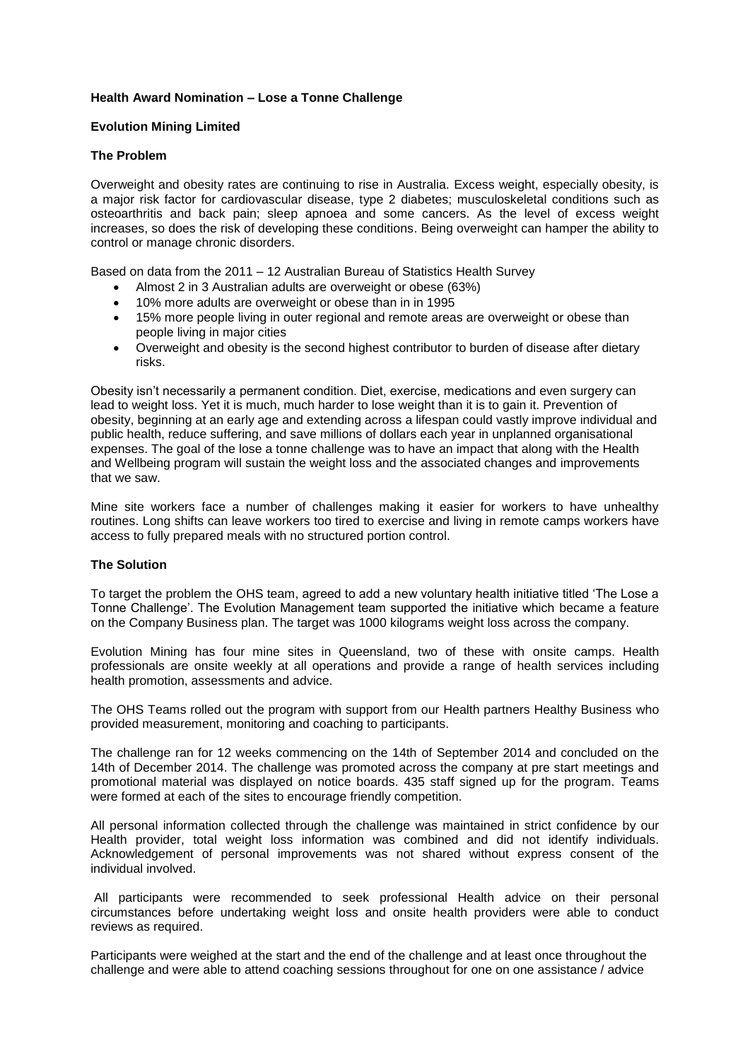# **Health Award Nomination – Lose a Tonne Challenge**

### **Evolution Mining Limited**

#### **The Problem**

Overweight and obesity rates are continuing to rise in Australia. Excess weight, especially obesity, is a major risk factor for cardiovascular disease, type 2 diabetes; musculoskeletal conditions such as osteoarthritis and back pain; sleep apnoea and some cancers. As the level of excess weight increases, so does the risk of developing these conditions. Being overweight can hamper the ability to control or manage chronic disorders.

Based on data from the 2011 – 12 Australian Bureau of Statistics Health Survey

- Almost 2 in 3 Australian adults are overweight or obese (63%)
- 10% more adults are overweight or obese than in in 1995
- 15% more people living in outer regional and remote areas are overweight or obese than people living in major cities
- Overweight and obesity is the second highest contributor to burden of disease after dietary risks.

Obesity isn't necessarily a permanent condition. Diet, exercise, medications and even surgery can lead to weight loss. Yet it is much, much harder to lose weight than it is to gain it. Prevention of obesity, beginning at an early age and extending across a lifespan could vastly improve individual and public health, reduce suffering, and save millions of dollars each year in unplanned organisational expenses. The goal of the lose a tonne challenge was to have an impact that along with the Health and Wellbeing program will sustain the weight loss and the associated changes and improvements that we saw.

Mine site workers face a number of challenges making it easier for workers to have unhealthy routines. Long shifts can leave workers too tired to exercise and living in remote camps workers have access to fully prepared meals with no structured portion control.

### **The Solution**

To target the problem the OHS team, agreed to add a new voluntary health initiative titled 'The Lose a Tonne Challenge'. The Evolution Management team supported the initiative which became a feature on the Company Business plan. The target was 1000 kilograms weight loss across the company.

Evolution Mining has four mine sites in Queensland, two of these with onsite camps. Health professionals are onsite weekly at all operations and provide a range of health services including health promotion, assessments and advice.

The OHS Teams rolled out the program with support from our Health partners Healthy Business who provided measurement, monitoring and coaching to participants.

The challenge ran for 12 weeks commencing on the 14th of September 2014 and concluded on the 14th of December 2014. The challenge was promoted across the company at pre start meetings and promotional material was displayed on notice boards. 435 staff signed up for the program. Teams were formed at each of the sites to encourage friendly competition.

All personal information collected through the challenge was maintained in strict confidence by our Health provider, total weight loss information was combined and did not identify individuals. Acknowledgement of personal improvements was not shared without express consent of the individual involved.

All participants were recommended to seek professional Health advice on their personal circumstances before undertaking weight loss and onsite health providers were able to conduct reviews as required.

Participants were weighed at the start and the end of the challenge and at least once throughout the challenge and were able to attend coaching sessions throughout for one on one assistance / advice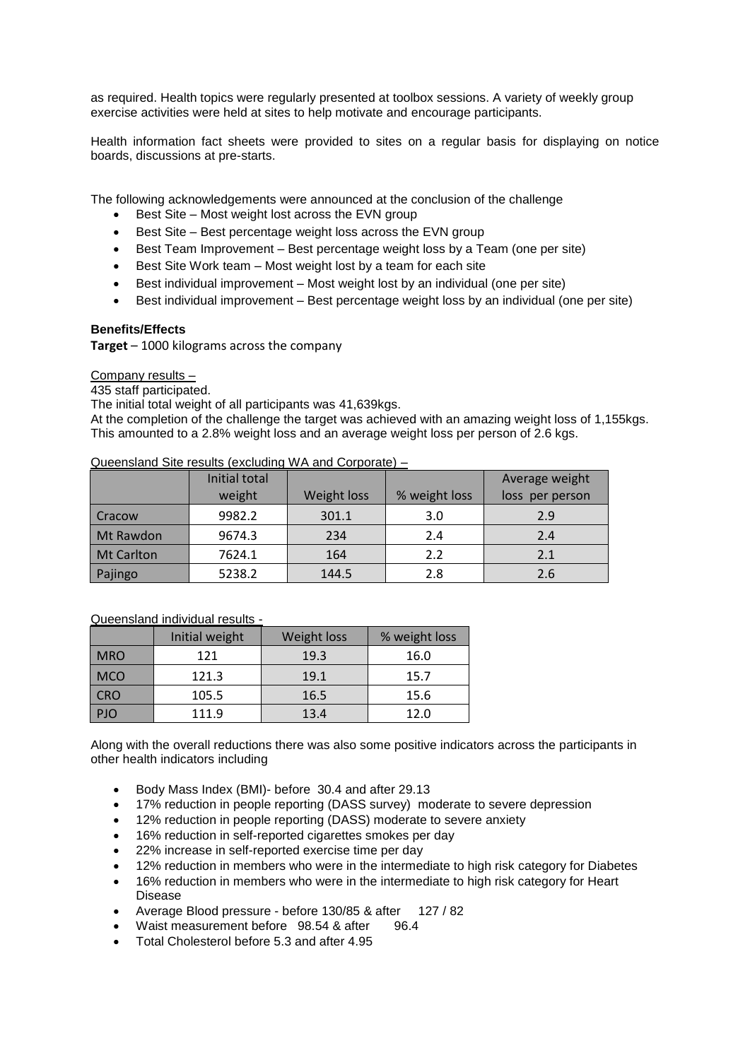as required. Health topics were regularly presented at toolbox sessions. A variety of weekly group exercise activities were held at sites to help motivate and encourage participants.

Health information fact sheets were provided to sites on a regular basis for displaying on notice boards, discussions at pre-starts.

The following acknowledgements were announced at the conclusion of the challenge

- Best Site Most weight lost across the EVN group
- Best Site Best percentage weight loss across the EVN group
- Best Team Improvement Best percentage weight loss by a Team (one per site)
- Best Site Work team Most weight lost by a team for each site
- Best individual improvement Most weight lost by an individual (one per site)
- Best individual improvement Best percentage weight loss by an individual (one per site)

### **Benefits/Effects**

**Target** – 1000 kilograms across the company

# Company results –

435 staff participated.

The initial total weight of all participants was 41,639kgs.

At the completion of the challenge the target was achieved with an amazing weight loss of 1,155kgs. This amounted to a 2.8% weight loss and an average weight loss per person of 2.6 kgs.

Queensland Site results (excluding WA and Corporate) –

|                   | Initial total |             |               | Average weight  |
|-------------------|---------------|-------------|---------------|-----------------|
|                   | weight        | Weight loss | % weight loss | loss per person |
| Cracow            | 9982.2        | 301.1       | 3.0           | 2.9             |
| Mt Rawdon         | 9674.3        | 234         | 2.4           | 2.4             |
| <b>Mt Carlton</b> | 7624.1        | 164         | 2.2           | 2.1             |
| Pajingo           | 5238.2        | 144.5       | 2.8           | 2.6             |

#### Queensland individual results -

|            | Initial weight | Weight loss | % weight loss |
|------------|----------------|-------------|---------------|
| <b>MRO</b> | 121            | 19.3        | 16.0          |
| <b>MCO</b> | 121.3          | 19.1        | 15.7          |
| <b>CRO</b> | 105.5          | 16.5        | 15.6          |
| חוי        | 111.9          | 13.4        | 12.0          |

Along with the overall reductions there was also some positive indicators across the participants in other health indicators including

- Body Mass Index (BMI)- before 30.4 and after 29.13
- 17% reduction in people reporting (DASS survey) moderate to severe depression
- 12% reduction in people reporting (DASS) moderate to severe anxiety
- 16% reduction in self-reported cigarettes smokes per day
- 22% increase in self-reported exercise time per day
- 12% reduction in members who were in the intermediate to high risk category for Diabetes
- 16% reduction in members who were in the intermediate to high risk category for Heart Disease
- Average Blood pressure before 130/85 & after 127 / 82
- Waist measurement before 98.54 & after 96.4
- Total Cholesterol before 5.3 and after 4.95